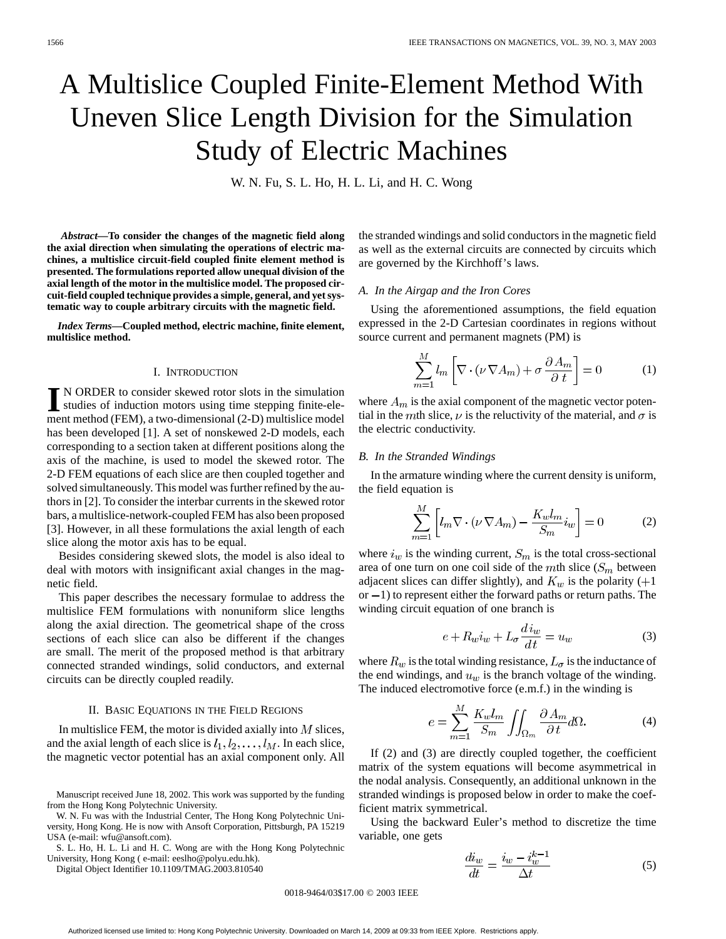# A Multislice Coupled Finite-Element Method With Uneven Slice Length Division for the Simulation Study of Electric Machines

W. N. Fu, S. L. Ho, H. L. Li, and H. C. Wong

*Abstract—***To consider the changes of the magnetic field along the axial direction when simulating the operations of electric machines, a multislice circuit-field coupled finite element method is presented. The formulations reported allow unequal division of the axial length of the motor in the multislice model. The proposed circuit-field coupled technique provides a simple, general, and yet systematic way to couple arbitrary circuits with the magnetic field.**

*Index Terms—***Coupled method, electric machine, finite element, multislice method.**

#### I. INTRODUCTION

**I** N ORDER to consider skewed rotor slots in the simulation<br>studies of induction motors using time stepping finite-ele-<br>mont mathod (EEM), a two dimensional (2, D) multiplies model ment method (FEM), a two-dimensional (2-D) multislice model has been developed [1]. A set of nonskewed 2-D models, each corresponding to a section taken at different positions along the axis of the machine, is used to model the skewed rotor. The 2-D FEM equations of each slice are then coupled together and solved simultaneously. This model was further refined by the authors in [2]. To consider the interbar currents in the skewed rotor bars, a multislice-network-coupled FEM has also been proposed [3]. However, in all these formulations the axial length of each slice along the motor axis has to be equal.

Besides considering skewed slots, the model is also ideal to deal with motors with insignificant axial changes in the magnetic field.

This paper describes the necessary formulae to address the multislice FEM formulations with nonuniform slice lengths along the axial direction. The geometrical shape of the cross sections of each slice can also be different if the changes are small. The merit of the proposed method is that arbitrary connected stranded windings, solid conductors, and external circuits can be directly coupled readily.

#### II. BASIC EQUATIONS IN THE FIELD REGIONS

In multislice FEM, the motor is divided axially into  $M$  slices, and the axial length of each slice is  $l_1, l_2, \ldots, l_M$ . In each slice, the magnetic vector potential has an axial component only. All

Manuscript received June 18, 2002. This work was supported by the funding from the Hong Kong Polytechnic University.

W. N. Fu was with the Industrial Center, The Hong Kong Polytechnic University, Hong Kong. He is now with Ansoft Corporation, Pittsburgh, PA 15219 USA (e-mail: wfu@ansoft.com).

S. L. Ho, H. L. Li and H. C. Wong are with the Hong Kong Polytechnic University, Hong Kong ( e-mail: eeslho@polyu.edu.hk).

Digital Object Identifier 10.1109/TMAG.2003.810540

the stranded windings and solid conductors in the magnetic field as well as the external circuits are connected by circuits which are governed by the Kirchhoff's laws.

# *A. In the Airgap and the Iron Cores*

Using the aforementioned assumptions, the field equation expressed in the 2-D Cartesian coordinates in regions without source current and permanent magnets (PM) is

$$
\sum_{m=1}^{M} l_m \left[ \nabla \cdot (\nu \, \nabla A_m) + \sigma \, \frac{\partial A_m}{\partial t} \right] = 0 \tag{1}
$$

where  $A_m$  is the axial component of the magnetic vector potential in the mth slice,  $\nu$  is the reluctivity of the material, and  $\sigma$  is the electric conductivity.

#### *B. In the Stranded Windings*

In the armature winding where the current density is uniform, the field equation is

$$
\sum_{m=1}^{M} \left[ l_m \nabla \cdot (\nu \nabla A_m) - \frac{K_w l_m}{S_m} i_w \right] = 0 \tag{2}
$$

where  $i_w$  is the winding current,  $S_m$  is the total cross-sectional area of one turn on one coil side of the  $m$ th slice ( $S_m$  between adjacent slices can differ slightly), and  $K_w$  is the polarity (+1) or  $-1$ ) to represent either the forward paths or return paths. The winding circuit equation of one branch is

$$
e + R_w i_w + L_\sigma \frac{d i_w}{dt} = u_w \tag{3}
$$

where  $R_w$  is the total winding resistance,  $L_{\sigma}$  is the inductance of the end windings, and  $u_w$  is the branch voltage of the winding. The induced electromotive force (e.m.f.) in the winding is

$$
e = \sum_{m=1}^{M} \frac{K_w l_m}{S_m} \iint_{\Omega_m} \frac{\partial A_m}{\partial t} d\Omega.
$$
 (4)

If (2) and (3) are directly coupled together, the coefficient matrix of the system equations will become asymmetrical in the nodal analysis. Consequently, an additional unknown in the stranded windings is proposed below in order to make the coefficient matrix symmetrical.

Using the backward Euler's method to discretize the time variable, one gets

$$
\frac{di_w}{dt} = \frac{i_w - i_w^{k-1}}{\Delta t} \tag{5}
$$

0018-9464/03\$17.00 © 2003 IEEE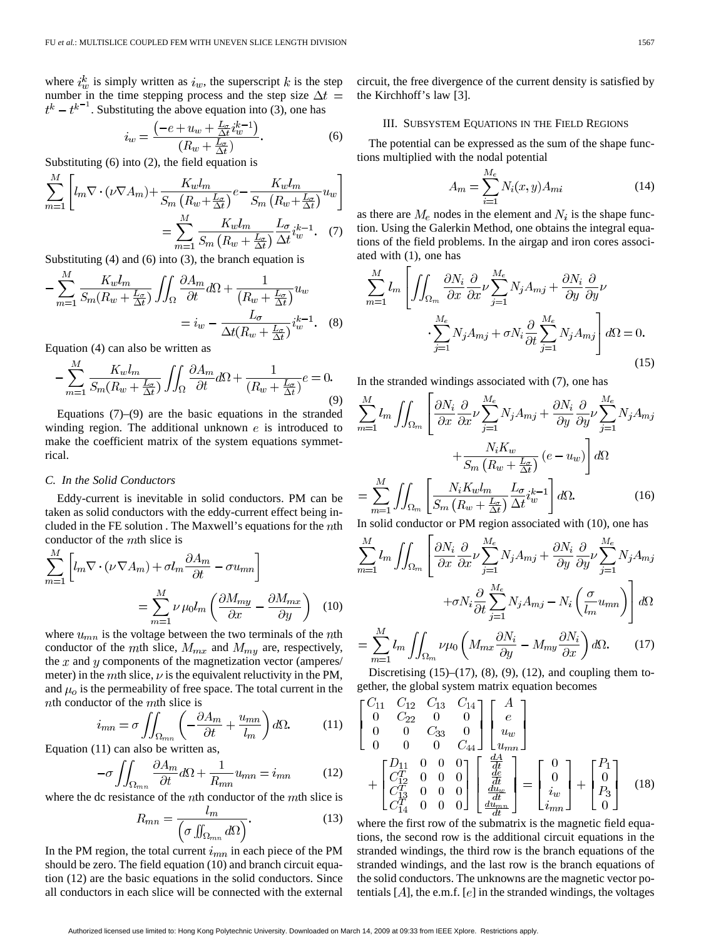where  $i_w^k$  is simply written as  $i_w$ , the superscript k is the step number in the time stepping process and the step size  $\Delta t =$  $t^{k} - t^{k-1}$ . Substituting the above equation into (3), one has

$$
i_w = \frac{\left(-e + u_w + \frac{L_\sigma}{\Delta t} i_w^{k-1}\right)}{(R_w + \frac{L_\sigma}{\Delta t})}.\tag{6}
$$

Substituting (6) into (2), the field equation is

$$
\sum_{m=1}^{M} \left[ l_m \nabla \cdot (\nu \nabla A_m) + \frac{K_w l_m}{S_m \left( R_w + \frac{L_{\sigma}}{\Delta t} \right)} e - \frac{K_w l_m}{S_m \left( R_w + \frac{L_{\sigma}}{\Delta t} \right)} u_w \right]
$$

$$
= \sum_{m=1}^{M} \frac{K_w l_m}{S_m \left( R_w + \frac{L_{\sigma}}{\Delta t} \right)} \frac{L_{\sigma}}{\Delta t} i_w^{k-1} . \quad (7)
$$

Substituting (4) and (6) into (3), the branch equation is

$$
-\sum_{m=1}^{M} \frac{K_w l_m}{S_m (R_w + \frac{L_{\sigma}}{\Delta t})} \iint_{\Omega} \frac{\partial A_m}{\partial t} d\Omega + \frac{1}{(R_w + \frac{L_{\sigma}}{\Delta t})} u_w
$$

$$
= i_w - \frac{L_{\sigma}}{\Delta t (R_w + \frac{L_{\sigma}}{\Delta t})} i_w^{k-1} . \quad (8)
$$

Equation (4) can also be written as

$$
-\sum_{m=1}^{M} \frac{K_w l_m}{S_m (R_w + \frac{L_z}{\Delta t})} \iint_{\Omega} \frac{\partial A_m}{\partial t} d\Omega + \frac{1}{(R_w + \frac{L_z}{\Delta t})} e = 0.
$$
\n(9)

Equations  $(7)$ – $(9)$  are the basic equations in the stranded winding region. The additional unknown  $e$  is introduced to make the coefficient matrix of the system equations symmetrical.

#### *C. In the Solid Conductors*

Eddy-current is inevitable in solid conductors. PM can be taken as solid conductors with the eddy-current effect being included in the FE solution. The Maxwell's equations for the  $n$ th conductor of the  $m$ th slice is

$$
\sum_{m=1}^{M} \left[ l_m \nabla \cdot (\nu \nabla A_m) + \sigma l_m \frac{\partial A_m}{\partial t} - \sigma u_{mn} \right]
$$

$$
= \sum_{m=1}^{M} \nu \mu_0 l_m \left( \frac{\partial M_{my}}{\partial x} - \frac{\partial M_{mx}}{\partial y} \right) (10)
$$

where  $u_{mn}$  is the voltage between the two terminals of the nth conductor of the mth slice,  $M_{mx}$  and  $M_{my}$  are, respectively, the  $x$  and  $y$  components of the magnetization vector (amperes/ meter) in the mth slice,  $\nu$  is the equivalent reluctivity in the PM, and  $\mu_o$  is the permeability of free space. The total current in the  $nth$  conductor of the  $mth$  slice is

$$
i_{mn} = \sigma \iint_{\Omega_{mn}} \left( -\frac{\partial A_m}{\partial t} + \frac{u_{mn}}{l_m} \right) d\Omega. \tag{11}
$$

Equation (11) can also be written as,

$$
-\sigma \iint_{\Omega_{mn}} \frac{\partial A_m}{\partial t} d\Omega + \frac{1}{R_{mn}} u_{mn} = i_{mn}
$$
 (12)

where the dc resistance of the  $n$ th conductor of the  $m$ th slice is

$$
R_{mn} = \frac{l_m}{\left(\sigma \iint_{\Omega_{mn}} d\Omega\right)}.
$$
 (13)

In the PM region, the total current  $i_{mn}$  in each piece of the PM should be zero. The field equation (10) and branch circuit equation (12) are the basic equations in the solid conductors. Since all conductors in each slice will be connected with the external circuit, the free divergence of the current density is satisfied by the Kirchhoff's law [3].

# III. SUBSYSTEM EQUATIONS IN THE FIELD REGIONS

The potential can be expressed as the sum of the shape functions multiplied with the nodal potential

$$
A_m = \sum_{i=1}^{M_e} N_i(x, y) A_{mi}
$$
 (14)

as there are  $M_e$  nodes in the element and  $N_i$  is the shape function. Using the Galerkin Method, one obtains the integral equations of the field problems. In the airgap and iron cores associated with (1), one has

$$
\sum_{m=1}^{M} l_m \left[ \iint_{\Omega_m} \frac{\partial N_i}{\partial x} \frac{\partial}{\partial x} \nu \sum_{j=1}^{M_e} N_j A_{mj} + \frac{\partial N_i}{\partial y} \frac{\partial}{\partial y} \nu \right. \\
\left. \cdot \sum_{j=1}^{M_e} N_j A_{mj} + \sigma N_i \frac{\partial}{\partial t} \sum_{j=1}^{M_e} N_j A_{mj} \right] d\Omega = 0.
$$
\n(15)

In the stranded windings associated with (7), one has

$$
\sum_{m=1}^{M} l_m \iint_{\Omega_m} \left[ \frac{\partial N_i}{\partial x} \frac{\partial}{\partial x} \nu \sum_{j=1}^{M_e} N_j A_{mj} + \frac{\partial N_i}{\partial y} \frac{\partial}{\partial y} \nu \sum_{j=1}^{M_e} N_j A_{mj} \right. \left. + \frac{N_i K_w}{S_m \left( R_w + \frac{L_{\sigma}}{\Delta t} \right)} \left( e - u_w \right) \right] d\Omega \n= \sum_{m=1}^{M} \iint_{\Omega_m} \left[ \frac{N_i K_w l_m}{S_m \left( R_w + \frac{L_{\sigma}}{\Delta t} \right)} \frac{L_{\sigma}}{\Delta t} i_w^{k-1} \right] d\Omega.
$$
\n(16)

In solid conductor or PM region associated with (10), one has

$$
\sum_{n=1}^{M} l_m \iint_{\Omega_m} \left[ \frac{\partial N_i}{\partial x} \frac{\partial}{\partial x} \nu \sum_{j=1}^{M_e} N_j A_{mj} + \frac{\partial N_i}{\partial y} \frac{\partial}{\partial y} \nu \sum_{j=1}^{M_e} N_j A_{mj} \right] d\Omega
$$

$$
+ \sigma N_i \frac{\partial}{\partial t} \sum_{j=1}^{M_e} N_j A_{mj} - N_i \left( \frac{\sigma}{l_m} u_{mn} \right) \right] d\Omega
$$

$$
\sum_{j=1}^{M} l_j \int_{\Omega_m} \left[ \int_{\Omega_m} \nu \left( \frac{\partial N_i}{\partial x_j} \frac{\partial N_i}{\partial x_j} \frac{\partial N_i}{\partial x_j} \frac{\partial N_i}{\partial x_j} \frac{\partial N_i}{\partial x_j} \frac{\partial N_i}{\partial x_j} \frac{\partial N_i}{\partial x_j} \frac{\partial N_i}{\partial x_j} \frac{\partial N_i}{\partial x_j} \frac{\partial N_i}{\partial x_j} \frac{\partial N_i}{\partial x_j} \frac{\partial N_i}{\partial x_j} \frac{\partial N_i}{\partial x_j} \frac{\partial N_i}{\partial x_j} \frac{\partial N_i}{\partial x_j} \frac{\partial N_i}{\partial x_j} \frac{\partial N_i}{\partial x_j} \frac{\partial N_i}{\partial x_j} \frac{\partial N_i}{\partial x_j} \frac{\partial N_i}{\partial x_j} \frac{\partial N_i}{\partial x_j} \frac{\partial N_i}{\partial x_j} \frac{\partial N_i}{\partial x_j} \frac{\partial N_i}{\partial x_j} \frac{\partial N_i}{\partial x_j} \frac{\partial N_i}{\partial x_j} \frac{\partial N_i}{\partial x_j} \frac{\partial N_i}{\partial x_j} \frac{\partial N_i}{\partial x_j} \frac{\partial N_i}{\partial x_j} \frac{\partial N_i}{\partial x_j} \frac{\partial N_i}{\partial x_j} \frac{\partial N_i}{\partial x_j} \frac{\partial N_i}{\partial x_j} \frac{\partial N_i}{\partial x_j} \frac{\partial N_i}{\partial x_j} \frac{\partial N_i}{\partial x_j} \frac{\partial N_i}{\partial x_j} \frac{\partial N_i}{\partial x_j} \frac{\partial N_i}{\partial x_j} \frac{\partial N_i}{\partial x_j} \frac{\partial N_i}{\partial x_j} \frac{\partial N_i}{\partial x_j} \frac{\partial N_i}{\partial x_j} \frac{\partial N_i}{\partial x_j} \frac{\partial N
$$

$$
= \sum_{m=1}^{N} l_m \iint_{\Omega_m} \nu \mu_0 \left( M_{mx} \frac{\partial N_i}{\partial y} - M_{my} \frac{\partial N_i}{\partial x} \right) d\Omega. \tag{17}
$$

Discretising  $(15)–(17)$ ,  $(8)$ ,  $(9)$ ,  $(12)$ , and coupling them together, the global system matrix equation becomes

$$
\begin{bmatrix}\nC_{11} & C_{12} & C_{13} & C_{14} \\
0 & C_{22} & 0 & 0 \\
0 & 0 & C_{33} & 0 \\
0 & 0 & 0 & C_{44}\n\end{bmatrix}\n\begin{bmatrix}\nA \\
e \\
u_w \\
u_w\n\end{bmatrix}
$$
\n
$$
+\begin{bmatrix}\nD_{11} & 0 & 0 & 0 \\
C_{12}^T & 0 & 0 & 0 \\
C_{13}^T & 0 & 0 & 0 \\
C_{14}^T & 0 & 0 & 0\n\end{bmatrix}\n\begin{bmatrix}\n\frac{dA}{dt} \\
\frac{de}{dt} \\
\frac{du_w}{dt} \\
\frac{du_w}{dt}\n\end{bmatrix} = \begin{bmatrix}\n0 \\
0 \\
i_w \\
i_m\n\end{bmatrix} + \begin{bmatrix}\nP_1 \\
0 \\
P_3 \\
P_3\n\end{bmatrix}
$$
\n(18)

where the first row of the submatrix is the magnetic field equations, the second row is the additional circuit equations in the stranded windings, the third row is the branch equations of the stranded windings, and the last row is the branch equations of the solid conductors. The unknowns are the magnetic vector potentials  $[A]$ , the e.m.f.  $[e]$  in the stranded windings, the voltages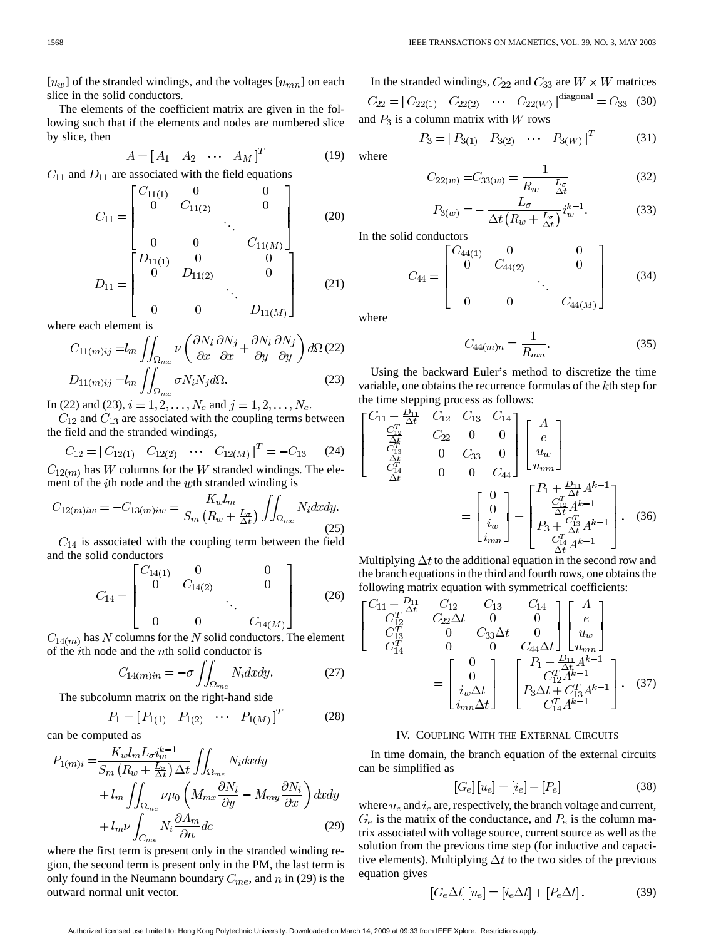$\left[ u_{w}\right]$  of the stranded windings, and the voltages  $\left[ u_{mn}\right]$  on each slice in the solid conductors.

The elements of the coefficient matrix are given in the following such that if the elements and nodes are numbered slice by slice, then

$$
A = \begin{bmatrix} A_1 & A_2 & \cdots & A_M \end{bmatrix}^T
$$
 (19)

 $C_{11}$  and  $D_{11}$  are associated with the field equations

$$
C_{11} = \begin{bmatrix} C_{11(1)} & 0 & 0 \\ 0 & C_{11(2)} & 0 \\ 0 & 0 & C_{11(M)} \end{bmatrix}
$$
 (20)

$$
D_{11} = \begin{bmatrix} D_{11(1)} & 0 & 0 \\ 0 & D_{11(2)} & 0 \\ 0 & 0 & D_{11(M)} \end{bmatrix}
$$
 (21)

where each element is

$$
C_{11(m)ij} = l_m \iint_{\Omega_{me}} \nu \left( \frac{\partial N_i}{\partial x} \frac{\partial N_j}{\partial x} + \frac{\partial N_i}{\partial y} \frac{\partial N_j}{\partial y} \right) d\Omega (22)
$$
  

$$
D_{11(m)ij} = l_m \iint_{\Omega_{me}} \sigma N_i N_j d\Omega.
$$
 (23)

In (22) and (23),  $i = 1, 2, ..., N_e$  and  $j = 1, 2, ..., N_e$ .

 $C_{12}$  and  $C_{13}$  are associated with the coupling terms between the field and the stranded windings,

$$
C_{12} = [C_{12(1)} \quad C_{12(2)} \quad \cdots \quad C_{12(M)}]^T = -C_{13} \tag{24}
$$

 $C_{12(m)}$  has W columns for the W stranded windings. The element of the  $i$ th node and the  $w$ th stranded winding is

$$
C_{12(m)i w} = -C_{13(m)i w} = \frac{K_w l_m}{S_m \left(R_w + \frac{L_\sigma}{\Delta t}\right)} \iint_{\Omega_{me}} N_i dx dy.
$$
\n(25)

 $C_{14}$  is associated with the coupling term between the field and the solid conductors

$$
C_{14} = \begin{bmatrix} C_{14(1)} & 0 & 0 \ 0 & C_{14(2)} & 0 \ 0 & 0 & C_{14(M)} \end{bmatrix}
$$
 (26)

 $C_{14(m)}$  has N columns for the N solid conductors. The element of the  $i$ th node and the  $n$ th solid conductor is

$$
C_{14(m)in} = -\sigma \iint_{\Omega_{me}} N_i dx dy.
$$
 (27)

The subcolumn matrix on the right-hand side

$$
P_1 = [P_{1(1)} \quad P_{1(2)} \quad \cdots \quad P_{1(M)}]^T \tag{28}
$$

can be computed as

$$
P_{1(m)i} = \frac{K_w l_m L_{\sigma} i_w^{k-1}}{S_m (R_w + \frac{L_{\sigma}}{\Delta t}) \Delta t} \iint_{\Omega_{me}} N_i dx dy
$$
  
+  $l_m \iint_{\Omega_{me}} \nu \mu_0 \left( M_{mx} \frac{\partial N_i}{\partial y} - M_{my} \frac{\partial N_i}{\partial x} \right) dx dy$   
+  $l_m \nu \int_{C_{me}} N_i \frac{\partial A_m}{\partial n} dc$  (29)

where the first term is present only in the stranded winding region, the second term is present only in the PM, the last term is only found in the Neumann boundary  $C_{me}$ , and  $n$  in (29) is the outward normal unit vector.

In the stranded windings,  $C_{22}$  and  $C_{33}$  are  $W \times W$  matrices  $C_{22} = [C_{22(1)} \quad C_{22(2)} \quad \cdots \quad C_{22(W)}]^{diagonal} = C_{33}$  (30) and  $P_3$  is a column matrix with W rows

$$
P_3 = [P_{3(1)} \quad P_{3(2)} \quad \cdots \quad P_{3(W)}]^T \tag{31}
$$

where

$$
C_{22(w)} = C_{33(w)} = \frac{1}{R_w + \frac{L_x}{\Delta t}}
$$
(32)

$$
P_{3(w)} = -\frac{L_{\sigma}}{\Delta t \left(R_w + \frac{L_{\sigma}}{\Delta t}\right)} i_w^{k-1}.
$$
 (33)

In the solid conductors

$$
C_{44} = \begin{bmatrix} C_{44(1)} & 0 & 0 \\ 0 & C_{44(2)} & 0 \\ 0 & 0 & C_{44(M)} \end{bmatrix}
$$
 (34)

where

$$
C_{44(m)n} = \frac{1}{R_{mn}}.\t(35)
$$

Using the backward Euler's method to discretize the time variable, one obtains the recurrence formulas of the  $k$ th step for the time stepping process as follows:

$$
\begin{bmatrix}\nC_{11} + \frac{D_{11}}{\Delta t} & C_{12} & C_{13} & C_{14} \\
\frac{C_{12}^T}{\Delta t} & C_{22} & 0 & 0 \\
\frac{C_{13}^T}{\Delta t} & 0 & C_{33} & 0 \\
\frac{C_{14}^T}{\Delta t} & 0 & 0 & C_{44}\n\end{bmatrix}\n\begin{bmatrix}\nA \\
e \\
u_w \\
u_{mn}\n\end{bmatrix}
$$
\n
$$
= \begin{bmatrix}\n0 \\
0 \\
i_w \\
i_w\n\end{bmatrix} + \begin{bmatrix}\nP_1 + \frac{D_{11}}{\Delta t} A^{k-1} \\
\frac{C_{12}^T A^{k-1}}{\Delta t} A^{k-1} \\
P_3 + \frac{C_{13}^T A^{k-1}}{\Delta t} \\
\frac{C_{14}^T A^{k-1}}{\Delta t} A^{k-1}\n\end{bmatrix}.
$$
\n(36)

Multiplying  $\Delta t$  to the additional equation in the second row and the branch equations in the third and fourth rows, one obtains the following matrix equation with symmetrical coefficients:

$$
\begin{bmatrix}\nC_{11} + \frac{D_{11}}{2} & C_{12} & C_{13} & C_{14} \\
C_{12}^T & C_{22} \Delta t & 0 & 0 \\
C_{13}^T & 0 & C_{33} \Delta t & 0 \\
C_{14}^T & 0 & 0 & C_{44} \Delta t\n\end{bmatrix}\n\begin{bmatrix}\nA \\
e \\
u_w \\
u_m\n\end{bmatrix}
$$
\n
$$
= \begin{bmatrix}\n0 \\
0 \\
i_w \Delta t \\
i_{mn} \Delta t\n\end{bmatrix} + \begin{bmatrix}\nP_1 + D_{11} A^{k-1} \\
C_{12}^T A^{k-1} \\
P_3 \Delta t + C_{13}^T A^{k-1} \\
C_{14}^T A^{k-1}\n\end{bmatrix}.
$$
\n(37)

# IV. COUPLING WITH THE EXTERNAL CIRCUITS

In time domain, the branch equation of the external circuits can be simplified as

$$
[G_e][u_e] = [i_e] + [P_e]
$$
 (38)

where  $u_e$  and  $i_e$  are, respectively, the branch voltage and current,  $G_e$  is the matrix of the conductance, and  $P_e$  is the column matrix associated with voltage source, current source as well as the solution from the previous time step (for inductive and capacitive elements). Multiplying  $\Delta t$  to the two sides of the previous equation gives

$$
[G_e \Delta t] [u_e] = [i_e \Delta t] + [P_e \Delta t]. \tag{39}
$$